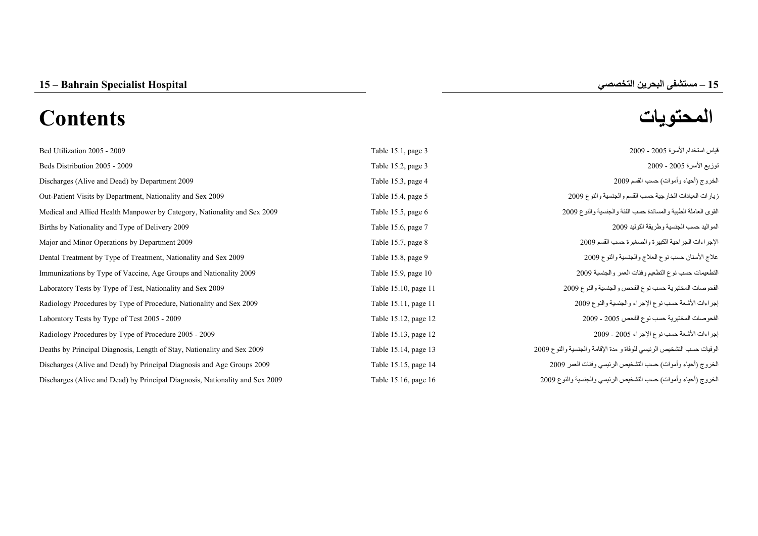# **المحتويات Contents**

| Bed Utilization 2005 - 2009                                                  | Table 15.1, page 3   | قياس استخدام الأسرة 2005 - 2009                                       |
|------------------------------------------------------------------------------|----------------------|-----------------------------------------------------------------------|
| Beds Distribution 2005 - 2009                                                | Table 15.2, page 3   | توزيع الأسرة 2005 - 2009                                              |
| Discharges (Alive and Dead) by Department 2009                               | Table 15.3, page 4   | الخروج (أحياء وأموات) حسب القسم 2009                                  |
| Out-Patient Visits by Department, Nationality and Sex 2009                   | Table 15.4, page 5   | زيارات العيادات الخارجية حسب القسم والجنسية والنوع 2009               |
| Medical and Allied Health Manpower by Category, Nationality and Sex 2009     | Table 15.5, page 6   | القوى العاملة الطبية والمساندة حسب الفئة والجنسية والنوع 2009         |
| Births by Nationality and Type of Delivery 2009                              | Table 15.6, page 7   | المواليد حسب الجنسية وطريقة التوليد 2009                              |
| Major and Minor Operations by Department 2009                                | Table 15.7, page 8   | الإجراءات الجراحية الكبيرة والصغيرة حسب القسم 2009                    |
| Dental Treatment by Type of Treatment, Nationality and Sex 2009              | Table 15.8, page 9   | علاج الأسنان حسب نوع العلاج والجنسية والنوع 2009                      |
| Immunizations by Type of Vaccine, Age Groups and Nationality 2009            | Table 15.9, page 10  | التطعيمات حسب نوع التطعيم وفئات العمر والجنسية 2009                   |
| Laboratory Tests by Type of Test, Nationality and Sex 2009                   | Table 15.10, page 11 | الفحوصات المختبرية حسب نوع الفحص والجنسية والنوع 2009                 |
| Radiology Procedures by Type of Procedure, Nationality and Sex 2009          | Table 15.11, page 11 | إجراءات الأشعة حسب نوع الإجراء والجنسية والنوع 2009                   |
| Laboratory Tests by Type of Test 2005 - 2009                                 | Table 15.12, page 12 | الفحوصات المختبرية حسب نوع الفحص 2005 - 2009                          |
| Radiology Procedures by Type of Procedure 2005 - 2009                        | Table 15.13, page 12 | إجراءات الأشعة حسب نوع الإجراء 2005 - 2009                            |
| Deaths by Principal Diagnosis, Length of Stay, Nationality and Sex 2009      | Table 15.14, page 13 | الوفيات حسب التشخيص الرئيسي للوفاة و مدة الإقامة والجنسية والنوع 2009 |
| Discharges (Alive and Dead) by Principal Diagnosis and Age Groups 2009       | Table 15.15, page 14 | الخروج (أحياء وأموات) حسب التشخيص الرئيسي وفئات العمر 2009            |
| Discharges (Alive and Dead) by Principal Diagnosis, Nationality and Sex 2009 | Table 15.16, page 16 | الخروج (أحياء وأموات) حسب التشخيص الرئيسي والجنسية والنوع 2009        |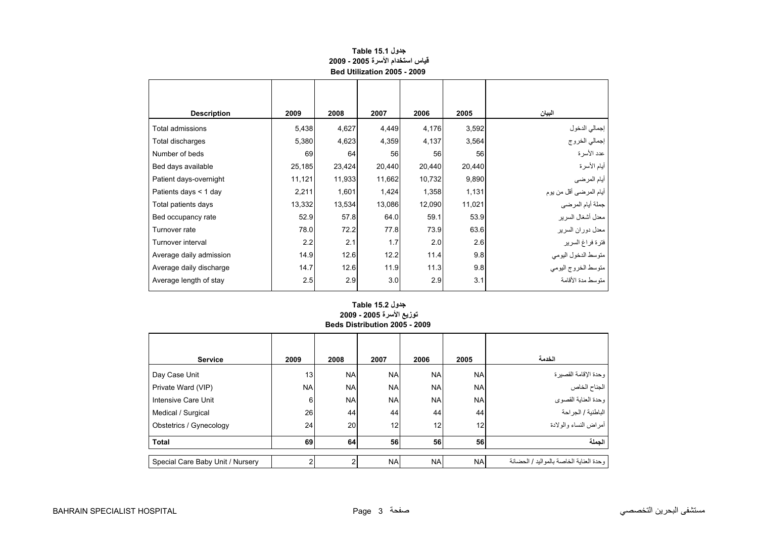<span id="page-1-0"></span>

| <b>Description</b>      | 2009   | 2008   | 2007   | 2006   | 2005   | البيان                  |
|-------------------------|--------|--------|--------|--------|--------|-------------------------|
| Total admissions        | 5,438  | 4,627  | 4,449  | 4,176  | 3,592  | إجمالي الدخول           |
| Total discharges        | 5,380  | 4,623  | 4,359  | 4,137  | 3,564  | إجمالي الخروج           |
| Number of beds          | 69     | 64     | 56     | 56     | 56     | عدد الأسرة              |
| Bed days available      | 25,185 | 23,424 | 20,440 | 20,440 | 20,440 | أيام الأسرة             |
| Patient days-overnight  | 11,121 | 11,933 | 11,662 | 10,732 | 9,890  | أيام المرضي             |
| Patients days < 1 day   | 2,211  | 1,601  | 1,424  | 1,358  | 1,131  | أيام المرضىي أقل من يوم |
| Total patients days     | 13,332 | 13,534 | 13,086 | 12,090 | 11,021 | جملة أيام المرضى        |
| Bed occupancy rate      | 52.9   | 57.8   | 64.0   | 59.1   | 53.9   | معدل أشغال السرير       |
| Turnover rate           | 78.0   | 72.2   | 77.8   | 73.9   | 63.6   | معدل دوران السرير       |
| Turnover interval       | 2.2    | 2.1    | 1.7    | 2.0    | 2.6    | فترة فراغ السرير        |
| Average daily admission | 14.9   | 12.6   | 12.2   | 11.4   | 9.8    | منوسط الدخول اليومي     |
| Average daily discharge | 14.7   | 12.6   | 11.9   | 11.3   | 9.8    | متوسط الخروج اليومي     |
| Average length of stay  | 2.5    | 2.9    | 3.0    | 2.9    | 3.1    | منّه سط مدة الأقامة     |
|                         |        |        |        |        |        |                         |

# **جدول 15.1 Table قياس استخدام الأسرة 2005 - 2009 Bed Utilization 2005 - 2009**

## **توزيع الأسرة 2005 - 2009 Beds Distribution 2005 - 2009 جدول 15.2 Table**

| <b>Service</b>                   | 2009      | 2008      | 2007            | 2006            | 2005      | الخدمة                                  |
|----------------------------------|-----------|-----------|-----------------|-----------------|-----------|-----------------------------------------|
| Day Case Unit                    | 13        | <b>NA</b> | <b>NA</b>       | <b>NA</b>       | <b>NA</b> | وحدة الإقامة القصيرة                    |
| Private Ward (VIP)               | <b>NA</b> | <b>NA</b> | <b>NA</b>       | <b>NA</b>       | <b>NA</b> |                                         |
| Intensive Care Unit              | 6         | <b>NA</b> | <b>NA</b>       | <b>NA</b>       | <b>NA</b> | وحدة العناية القصوى                     |
| Medical / Surgical               | 26        | 44        | 44              | 44              | 44        | الباطنية / الجراحة                      |
| Obstetrics / Gynecology          | 24        | 20        | 12 <sub>1</sub> | 12 <sub>1</sub> | 12        | أمراض النساء والولادة                   |
| <b>Total</b>                     | 69        | 64        | 56              | 56              | 56        | الجملة                                  |
| Special Care Baby Unit / Nursery |           |           | <b>NA</b>       | <b>NA</b>       | <b>NA</b> | وحدة العناية الخاصة بالمواليد / الحضانة |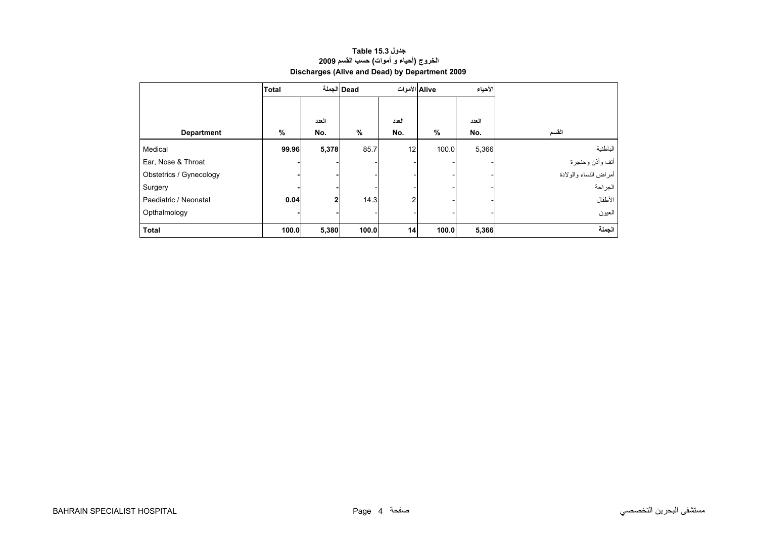<span id="page-2-0"></span>

|                         | <b>Total</b> |                | Dead الجملة | Alive الأموات |       | الأحياء |                       |
|-------------------------|--------------|----------------|-------------|---------------|-------|---------|-----------------------|
|                         |              |                |             |               |       |         |                       |
|                         |              | العدد          |             | العدد         |       | العدد   |                       |
| <b>Department</b>       | %            | No.            | $\%$        | No.           | $\%$  | No.     | القسم                 |
| Medical                 | 99.96        | 5,378          | 85.7        | 12            | 100.0 | 5,366   | الباطنية              |
| Ear, Nose & Throat      |              |                |             |               |       |         | أنف وأذن وحنجرة       |
| Obstetrics / Gynecology |              |                |             |               |       |         | أمراض النساء والولادة |
| Surgery                 |              |                |             |               |       |         | الجراحة               |
| Paediatric / Neonatal   | 0.04         | $\overline{2}$ | 14.3        | 2             |       |         | الأطفال               |
| Opthalmology            |              |                |             |               |       |         | العيون                |
| <b>Total</b>            | 100.0        | 5,380          | 100.0       | 14            | 100.0 | 5,366   | الجملة                |

# **جدول 15.3 Table الخروج (أحياء <sup>و</sup> أموات) حسب القسم <sup>2009</sup> Discharges (Alive and Dead) by Department 2009**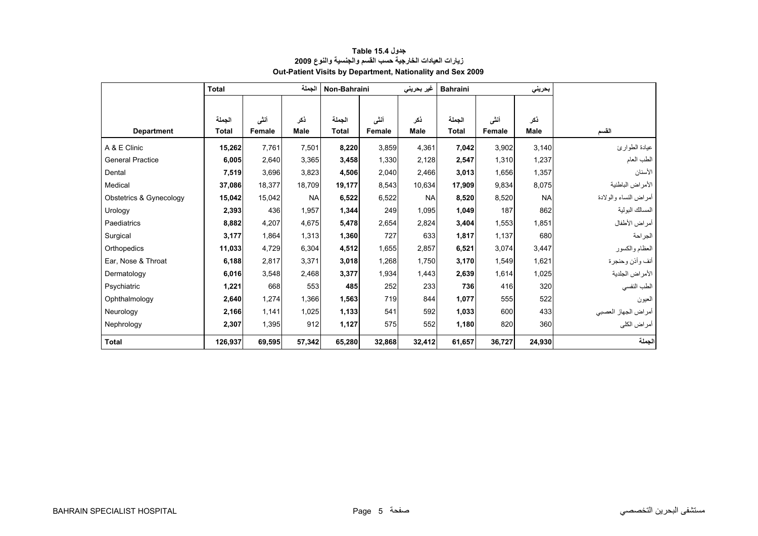<span id="page-3-0"></span>

|                         | <b>Total</b> |        |             | Non-Bahraini |        | غیر بحرین <i>ی</i> | <b>Bahraini</b> |        | بحريني      |                       |
|-------------------------|--------------|--------|-------------|--------------|--------|--------------------|-----------------|--------|-------------|-----------------------|
|                         |              |        |             |              |        |                    |                 |        |             |                       |
|                         | الحملة       | أنشى   | ذكر         | الجملة       | أنشى   | ذكر                | الجملة          | أنشى   | ذكر         |                       |
| <b>Department</b>       | <b>Total</b> | Female | <b>Male</b> | <b>Total</b> | Female | <b>Male</b>        | <b>Total</b>    | Female | <b>Male</b> | القسم                 |
| A & E Clinic            | 15,262       | 7.761  | 7.501       | 8,220        | 3,859  | 4,361              | 7,042           | 3.902  | 3.140       | عيادة الطوارئ         |
| <b>General Practice</b> | 6,005        | 2,640  | 3,365       | 3,458        | 1,330  | 2,128              | 2,547           | 1,310  | 1,237       | الطب العام            |
| Dental                  | 7,519        | 3,696  | 3,823       | 4,506        | 2,040  | 2,466              | 3,013           | 1,656  | 1,357       | الأسنان               |
| Medical                 | 37,086       | 18,377 | 18,709      | 19,177       | 8,543  | 10,634             | 17,909          | 9,834  | 8,075       | الأمراض الباطنية      |
| Obstetrics & Gynecology | 15,042       | 15,042 | <b>NA</b>   | 6,522        | 6,522  | <b>NA</b>          | 8,520           | 8,520  | <b>NA</b>   | أمراض النساء والولادة |
| Urology                 | 2,393        | 436    | 1,957       | 1,344        | 249    | 1,095              | 1,049           | 187    | 862         | المسالك البولية       |
| Paediatrics             | 8,882        | 4,207  | 4,675       | 5,478        | 2,654  | 2,824              | 3,404           | 1,553  | 1,851       | أمراض الأطفال         |
| Surgical                | 3,177        | 1,864  | 1,313       | 1,360        | 727    | 633                | 1,817           | 1,137  | 680         | الجراحة               |
| Orthopedics             | 11,033       | 4,729  | 6,304       | 4,512        | 1.655  | 2.857              | 6,521           | 3,074  | 3.447       | العظام والكسور        |
| Ear. Nose & Throat      | 6,188        | 2,817  | 3.371       | 3,018        | 1,268  | 1.750              | 3,170           | 1,549  | 1,621       | أنف وأذن وحنجرة       |
| Dermatology             | 6,016        | 3,548  | 2,468       | 3,377        | 1,934  | 1,443              | 2,639           | 1,614  | 1,025       | الأمراض الجلدية       |
| Psychiatric             | 1,221        | 668    | 553         | 485          | 252    | 233                | 736             | 416    | 320         | الطب النفسي           |
| Ophthalmology           | 2,640        | 1,274  | 1,366       | 1,563        | 719    | 844                | 1,077           | 555    | 522         | العيون                |
| Neurology               | 2,166        | 1,141  | 1,025       | 1,133        | 541    | 592                | 1,033           | 600    | 433         | أمراض الجهاز العصبي   |
| Nephrology              | 2,307        | 1,395  | 912         | 1,127        | 575    | 552                | 1,180           | 820    | 360         | أمراض الكلي           |
| <b>Total</b>            | 126,937      | 69,595 | 57,342      | 65,280       | 32,868 | 32,412             | 61,657          | 36,727 | 24,930      | الجملة                |

## **جدول 15.4 Table زيارات العيادات الخارجية حسب القسم والجنسية والنوع <sup>2009</sup> Out-Patient Visits by Department, Nationality and Sex 2009**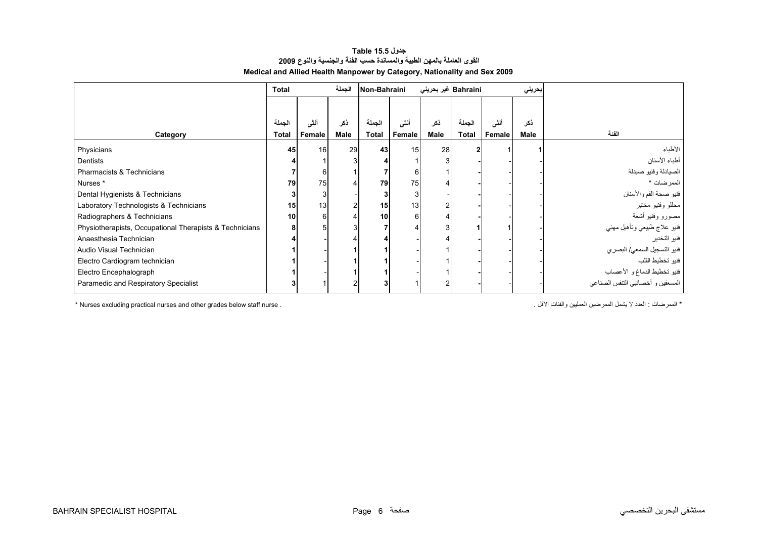#### **جدول 15.5 Table القوى العاملة بالمهن الطبية والمساندة حسب الفئة والجنسية والنوع <sup>2009</sup> Medical and Allied Health Manpower by Category, Nationality and Sex 2009**

<span id="page-4-0"></span>

|                                                         | <b>Total</b>           |                | الجملة      | Non-Bahraini           |                 | Bahraini غیر بحرینی |                        |                | بحريني      |                                   |
|---------------------------------------------------------|------------------------|----------------|-------------|------------------------|-----------------|---------------------|------------------------|----------------|-------------|-----------------------------------|
|                                                         |                        |                |             |                        |                 |                     |                        |                |             |                                   |
| Category                                                | الجملة<br><b>Total</b> | أنشى<br>Female | ذكر<br>Male | الجملة<br><b>Total</b> | أننى<br>Female  | ذكر<br>Male         | الجملة<br><b>Total</b> | أنشى<br>Female | ذكر<br>Male | الفئة                             |
| Physicians                                              | 45                     | 16             | 29          | 43 <sub>1</sub>        | 15 <sub>l</sub> | 28                  | 2                      |                |             | الأطباء                           |
| Dentists                                                |                        |                |             |                        |                 |                     |                        |                |             | أطباء الأسنان                     |
| Pharmacists & Technicians                               |                        | 6              |             |                        | 6               |                     |                        |                |             | الصيادلة وفنيو صيدلة              |
| Nurses *                                                | 79                     | 75             |             | 79                     | 75              |                     |                        |                |             | الممرضات *                        |
| Dental Hygienists & Technicians                         |                        | 3              |             |                        | 3               |                     |                        |                |             | فنيو صحة الفم والأسنان            |
| Laboratory Technologists & Technicians                  | 15                     | 13             |             | 15                     | 13              |                     |                        |                |             | محللو وفنيو مختبر                 |
| Radiographers & Technicians                             | 10                     | 6              |             | 10 <sup>1</sup>        | 61              |                     |                        |                |             | مصىورو وفنيو أشعة                 |
| Physiotherapists, Occupational Therapists & Technicians |                        |                |             |                        |                 |                     |                        |                |             | فنيو علاج طبيعي وتأهيل مهني       |
| Anaesthesia Technician                                  |                        |                |             |                        |                 |                     |                        |                |             | فنيو التخدير                      |
| Audio Visual Technician                                 |                        |                |             |                        |                 |                     |                        |                |             | فنيو التسجيل السمعي/ البصري       |
| Electro Cardiogram technician                           |                        |                |             |                        |                 |                     |                        |                |             | فنبو تخطيط القلب                  |
| Electro Encephalograph                                  |                        |                |             |                        |                 |                     |                        |                |             | فنيو تخطيط الدماغ و الأعصاب       |
| Paramedic and Respiratory Specialist                    |                        |                |             |                        |                 |                     |                        |                |             | المسعفين و أخصائيي التنفس الصناعي |

\* الممرضات : العدد لا يشمل الممرضين العمليين والفئات الأقل . . . . "Nurses excluding practical nurses and other grades below staff nurse .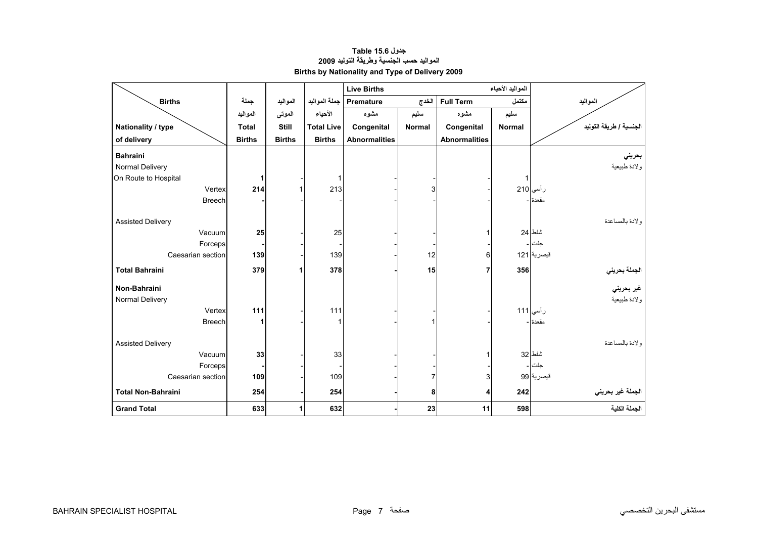# **جدول 15.6 Table المواليد حسب الجنسية وطريقة التوليد <sup>2009</sup> Births by Nationality and Type of Delivery 2009**

<span id="page-5-0"></span>

|                           |               |               |                   | <b>Live Births</b>   |               |                      | المواليد الأحياء |                                             |
|---------------------------|---------------|---------------|-------------------|----------------------|---------------|----------------------|------------------|---------------------------------------------|
| <b>Births</b>             | جملة          | المواليد      | جملة المواليد     | Premature            | الخدج         | <b>Full Term</b>     | مكتمل            | المواليد                                    |
|                           | المواليد      | الموتى        | الأحياء           | مشوه                 | سليم          | مشوه                 | سليم             |                                             |
| Nationality / type        | <b>Total</b>  | <b>Still</b>  | <b>Total Live</b> | Congenital           | <b>Normal</b> | Congenital           | <b>Normal</b>    | الجنسية / طريقة التوليد                     |
| of delivery               | <b>Births</b> | <b>Births</b> | <b>Births</b>     | <b>Abnormalities</b> |               | <b>Abnormalities</b> |                  |                                             |
| <b>Bahraini</b>           |               |               |                   |                      |               |                      |                  | بحريني                                      |
| Normal Delivery           |               |               |                   |                      |               |                      |                  | ولادة طبيعية                                |
| On Route to Hospital      |               |               | 1                 |                      |               |                      | $\mathbf 1$      |                                             |
| Vertex                    | 214           | 1             | 213               |                      | 3             |                      |                  | رأسي 210                                    |
| <b>Breech</b>             |               |               |                   |                      |               |                      |                  | مقعدة ا-                                    |
| <b>Assisted Delivery</b>  |               |               |                   |                      |               |                      |                  | و لادة بالمساعدة                            |
| Vacuum                    | 25            |               | 25                |                      |               |                      |                  | شفط 24                                      |
| Forceps                   |               |               |                   |                      |               |                      |                  | جفت ۔                                       |
| Caesarian section         | 139           |               | 139               |                      | 12            | $6 \,$               |                  | قيصرية 121                                  |
| <b>Total Bahraini</b>     | 379           | 1             | 378               |                      | 15            | 7                    | 356              | الجملة بحرين <i>ي</i><br>غير بحرين <i>ي</i> |
| Non-Bahraini              |               |               |                   |                      |               |                      |                  |                                             |
| Normal Delivery           |               |               |                   |                      |               |                      |                  | ولادة طبيعية                                |
| Vertex                    | 111           |               | 111               |                      |               |                      |                  | رأسي 111                                    |
| <b>Breech</b>             | 1             |               |                   |                      |               |                      |                  | مقعدة -                                     |
| <b>Assisted Delivery</b>  |               |               |                   |                      |               |                      |                  | ولادة بالمساعدة                             |
| Vacuum                    | 33            |               | 33                |                      |               |                      |                  | شفط 32                                      |
| Forceps                   |               |               |                   |                      |               |                      |                  | جفت -                                       |
| Caesarian section         | 109           |               | 109               |                      |               | 3                    |                  | قبصرية 99                                   |
| <b>Total Non-Bahraini</b> | 254           |               | 254               |                      | 8             | 4                    | 242              | الجملة غير بحريني                           |
| <b>Grand Total</b>        | 633           | 1             | 632               |                      | 23            | 11                   | 598              | الجملة الكلية                               |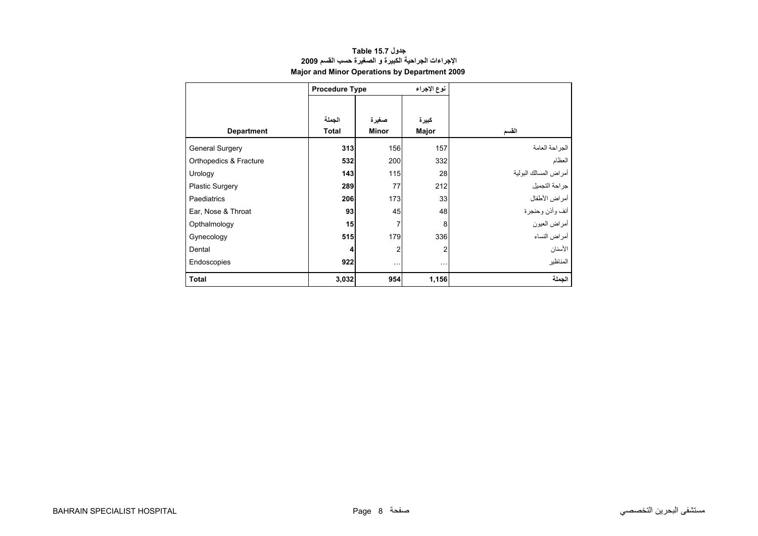| جدول Table 15.7                                      |
|------------------------------------------------------|
| الإجراءات الجراحية الكبيرة و الصغيرة حسب القسم 2009  |
| <b>Major and Minor Operations by Department 2009</b> |

<span id="page-6-0"></span>

|                        | <b>Procedure Type</b> |                       | نوع الإجراء    |                       |
|------------------------|-----------------------|-----------------------|----------------|-----------------------|
| <b>Department</b>      | الجملة<br>Total       | صغيرة<br><b>Minor</b> | كبيرة<br>Major | القسم                 |
| <b>General Surgery</b> | 313                   | 156                   | 157            | الجراحة العامة        |
| Orthopedics & Fracture | 532                   | 200                   | 332            | العظام                |
| Urology                | 143                   | 115                   | 28             | أمراض المسالك البولية |
| <b>Plastic Surgery</b> | 289                   | 77                    | 212            | جراحة التجميل         |
| Paediatrics            | 206                   | 173                   | 33             | أمراض الأطفال         |
| Ear, Nose & Throat     | 93                    | 45                    | 48             | أنف وأذن وحنجرة       |
| Opthalmology           | 15                    | $\overline{7}$        | 8              | أمراض العيون          |
| Gynecology             | 515                   | 179                   | 336            | أمراض النساء          |
| Dental                 | 4                     | $\overline{2}$        | 2              | الأسنان               |
| Endoscopies            | 922                   | $\sim$ $\sim$ $\sim$  | $\cdots$       | المناظير              |
| <b>Total</b>           | 3,032                 | 954                   | 1,156          | الحملة                |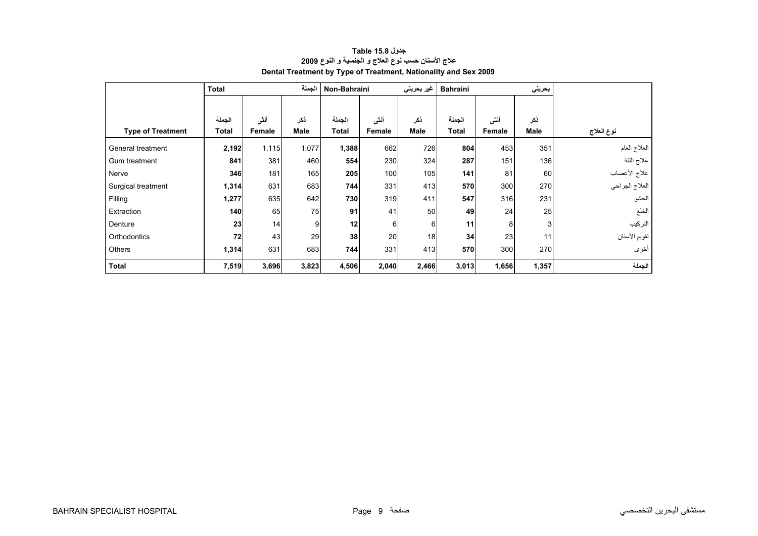<span id="page-7-0"></span>

|                          | <b>Total</b> |        | الجملة | Non-Bahraini |        | غير بحريني  | <b>Bahraini</b> |        | بحريني      |                |
|--------------------------|--------------|--------|--------|--------------|--------|-------------|-----------------|--------|-------------|----------------|
|                          |              |        |        |              |        |             |                 |        |             |                |
|                          | الجملة       | أننى   | ذكر    | الجملة       | أنشى   | ذكر         | الجملة          | أنشى   | ذكر         |                |
| <b>Type of Treatment</b> | Total        | Female | Male   | <b>Total</b> | Female | <b>Male</b> | <b>Total</b>    | Female | <b>Male</b> | نوع العلاج     |
| General treatment        | 2,192        | 1,115  | 1,077  | 1,388        | 662    | 726         | 804             | 453    | 351         | العلاج العام   |
| Gum treatment            | 841          | 381    | 460    | 554          | 230    | 324         | 287             | 151    | 136         | علاج اللثة     |
| Nerve                    | 346          | 181    | 165    | 205          | 100    | 105         | 141             | 81     | 60          | علاج الأعصاب   |
| Surgical treatment       | 1,314        | 631    | 683    | 744          | 331    | 413         | 570             | 300    | 270         | العلاج الجراحي |
| Filling                  | 1,277        | 635    | 642    | 730          | 319    | 411         | 547             | 316    | 231         | الحشو          |
| Extraction               | 140          | 65     | 75     | 91           | 41     | 50          | 49              | 24     | 25          | الخلع          |
| Denture                  | 23           | 14     | 9      | 12           | 6      | 6           | 11              | 8      | 3           | التركيب        |
| Orthodontics             | 72           | 43     | 29     | 38           | 20     | 18          | 34              | 23     | 11          | تقويم الأسنان  |
| Others                   | 1,314        | 631    | 683    | 744          | 331    | 413         | 570             | 300    | 270         | أخرى           |
| <b>Total</b>             | 7,519        | 3,696  | 3,823  | 4,506        | 2,040  | 2,466       | 3,013           | 1,656  | 1,357       | الجملة         |

# **جدول 15.8 Table علاج الأسنان حسب نوع العلاج <sup>و</sup> الجنسية <sup>و</sup> النوع <sup>2009</sup> Dental Treatment by Type of Treatment, Nationality and Sex 2009**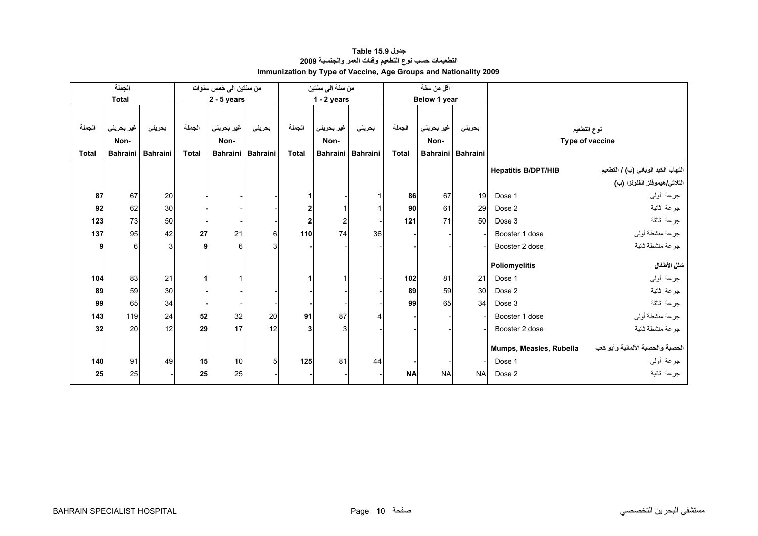<span id="page-8-0"></span>

|              | الجملة          |                 |              | من سنتين الى خمس سنوات |                   |                | من سنة الى سنتين |                   |                 | أقل من سنة   |                   |                            |                                       |
|--------------|-----------------|-----------------|--------------|------------------------|-------------------|----------------|------------------|-------------------|-----------------|--------------|-------------------|----------------------------|---------------------------------------|
|              | <b>Total</b>    |                 |              | $2 - 5$ years          |                   |                | $1 - 2$ years    |                   |                 | Below 1 year |                   |                            |                                       |
|              |                 |                 |              |                        |                   |                |                  |                   |                 |              |                   |                            |                                       |
| الجملة       | غير بحريني      | بحريني          | الجملة       | غير بحريني             | بحريني            | الجملة         | غير بحريني       | بحريني            | الجملة          | غير بحريني   | بحريني            |                            | نوع التطعيم                           |
|              | Non-            |                 |              | Non-                   |                   |                | Non-             |                   |                 | Non-         |                   |                            | Type of vaccine                       |
| <b>Total</b> | <b>Bahraini</b> | <b>Bahraini</b> | <b>Total</b> |                        | Bahraini Bahraini | <b>Total</b>   |                  | Bahraini Bahraini | <b>Total</b>    |              | Bahraini Bahraini |                            |                                       |
|              |                 |                 |              |                        |                   |                |                  |                   |                 |              |                   | <b>Hepatitis B/DPT/HIB</b> | التهاب الكبد الوبائي (ب) / التطعيم    |
|              |                 |                 |              |                        |                   |                |                  |                   |                 |              |                   |                            | الثلاث <i>ي هيمو</i> فلز انفلونزا (ب) |
| 87           | 67              | 20              |              |                        |                   |                |                  |                   | 86              | 67           | 19                | Dose 1                     | جرعة أولىي                            |
| 92           | 62              | 30              |              |                        |                   | $\mathbf{2}$   |                  |                   | 90 <sub>l</sub> | 61           | 29                | Dose 2                     | جرعة ثانية                            |
| 123          | 73              | 50              |              |                        |                   | $\overline{2}$ | $\mathbf{2}$     |                   | 121             | 71           | 50                | Dose 3                     | جرعة ثالثة                            |
| 137          | 95              | 42              | 27           | 21                     | 6                 | 110            | 74               | 36                |                 |              |                   | Booster 1 dose             | جرعة منشطة أولى                       |
| 9            | 6               | 3 <sup>1</sup>  | 9            | 6                      | 3                 |                |                  |                   |                 |              |                   | Booster 2 dose             | جرعة منشطة ثانية                      |
|              |                 |                 |              |                        |                   |                |                  |                   |                 |              |                   | Poliomyelitis              | شلل الأطفال                           |
|              |                 |                 |              |                        |                   |                |                  |                   |                 |              |                   |                            |                                       |
| 104          | 83              | 21              | 1            |                        |                   |                |                  |                   | 102             | 81           | 21                | Dose 1                     | جرعة أولىي                            |
| 89           | 59              | 30              |              |                        |                   |                |                  |                   | 89              | 59           | 30                | Dose 2                     | جرعة ثانية                            |
| 99           | 65              | 34              |              |                        |                   |                |                  |                   | 99              | 65           | 34                | Dose 3                     | جرعة ثالثة                            |
| 143          | 119             | 24              | 52           | 32                     | 20                | 91             | 87               |                   |                 |              |                   | Booster 1 dose             | جرعة منشطة أوليي                      |
| 32           | 20              | 12              | 29           | 17                     | 12                | 3              | $\mathbf{3}$     |                   |                 |              |                   | Booster 2 dose             | جرعة منشطة ثانية                      |
|              |                 |                 |              |                        |                   |                |                  |                   |                 |              |                   | Mumps, Measles, Rubella    | الحصبة والحصبة الألمانية وأبو كعب     |
| 140          | 91              | 49              | 15           | 10                     | 5                 | 125            | 81               | 44                |                 |              |                   | Dose 1                     | جرعة أولىي                            |
|              |                 |                 |              |                        |                   |                |                  |                   |                 |              |                   |                            |                                       |
| 25           | 25              |                 | 25           | 25                     |                   |                |                  |                   | <b>NA</b>       | <b>NA</b>    | <b>NA</b>         | Dose 2                     | جر عة ثانية                           |

# **جدول 15.9 Table التطعيمات حسب نوع التطعيم وفئات العمر والجنسية <sup>2009</sup> Immunization by Type of Vaccine, Age Groups and Nationality 2009**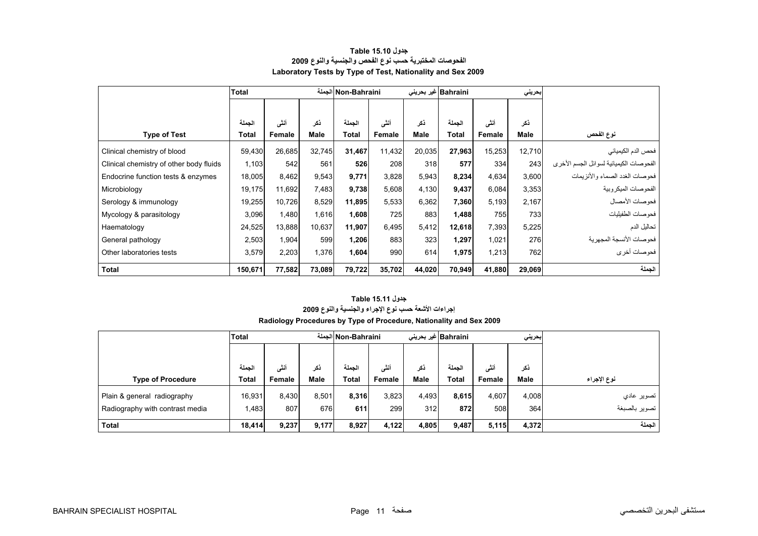<span id="page-9-0"></span>

|                                         | <b>Total</b> |        |             |              | Non-Bahraini الجملة |        | Bahraini غير بحريني |        | بحريني |                                         |
|-----------------------------------------|--------------|--------|-------------|--------------|---------------------|--------|---------------------|--------|--------|-----------------------------------------|
|                                         |              |        |             |              |                     |        |                     |        |        |                                         |
|                                         | الجملة       | أنشى   | ذکر         | الجملة       | أنشى                | نكر    | الجملة              | أنشى   | ذكر    |                                         |
| <b>Type of Test</b>                     | Total        | Female | <b>Male</b> | <b>Total</b> | Female              | Male   | <b>Total</b>        | Female | Male   | نوع الفحص                               |
| Clinical chemistry of blood             | 59,430       | 26,685 | 32.745      | 31,467       | 11,432              | 20,035 | 27,963              | 15,253 | 12,710 | فحص الدم الكيميائي                      |
| Clinical chemistry of other body fluids | 1,103        | 542    | 561         | 526          | 208                 | 318    | 577                 | 334    | 243    | الفحوصات الكيميائية لسوائل الجسم الأخرى |
| Endocrine function tests & enzymes      | 18,005       | 8,462  | 9,543       | 9,771        | 3,828               | 5,943  | 8,234               | 4,634  | 3,600  | فحوصات الغدد الصماء والأنزيمات          |
| Microbiology                            | 19,175       | 11,692 | 7,483       | 9,738        | 5,608               | 4,130  | 9,437               | 6,084  | 3,353  | الفحو صبات الميكر وبية                  |
| Serology & immunology                   | 19,255       | 10,726 | 8,529       | 11,895       | 5,533               | 6,362  | 7,360               | 5,193  | 2,167  | فحو صبات الأمصيال                       |
| Mycology & parasitology                 | 3,096        | 1,480  | 1,616       | 1,608        | 725                 | 883    | 1,488               | 755    | 733    | فحوصات الطفيليات                        |
| Haematology                             | 24,525       | 13,888 | 10,637      | 11,907       | 6,495               | 5,412  | 12,618              | 7,393  | 5,225  | تحاليل الدم                             |
| General pathology                       | 2,503        | 1,904  | 599         | 1,206        | 883                 | 323    | 1,297               | 1,021  | 276    | فحو صـات الأنسجة المجهر ية              |
| Other laboratories tests                | 3,579        | 2,203  | 1,376       | 1,604        | 990                 | 614    | 1,975               | 1,213  | 762    | فحوصات أخرى                             |
| <b>Total</b>                            | 150,671      | 77,582 | 73,089      | 79,722       | 35,702              | 44,020 | 70,949              | 41,880 | 29,069 | الجملة                                  |

#### **جدول 15.10 Table الفحوصات المختبرية حسب نوع الفحص والجنسية والنوع <sup>2009</sup> Laboratory Tests by Type of Test, Nationality and Sex 2009**

## **جدول 15.11 Table إجراءات الأشعة حسب نوع الإجراء والجنسية والنوع <sup>2009</sup> Radiology Procedures by Type of Procedure, Nationality and Sex 2009**

|                                 | <b>Total</b> |        |             |        | الجملة Non-Bahraini |             | Bahraini  غیر بحرینی |        | إبحريني     |               |
|---------------------------------|--------------|--------|-------------|--------|---------------------|-------------|----------------------|--------|-------------|---------------|
|                                 |              |        |             |        |                     |             |                      |        |             |               |
|                                 | الجملة       | أنشى   | نكر         | الحملة | أنشى                | نکر         | الحملة               | أنشى   | ذكر         |               |
| <b>Type of Procedure</b>        | <b>Total</b> | Female | <b>Male</b> | Total  | Female              | <b>Male</b> | Total                | Female | <b>Male</b> | نوع الإجراء   |
| Plain & general radiography     | 16,931       | 8.430  | 8.501       | 8,316  | 3,823               | 4,493       | 8,615                | 4.607  | 4,008       | تصوير عادي    |
| Radiography with contrast media | 1,483        | 807    | 676         | 611    | 299                 | 312         | 872                  | 508    | 364         | تصوير بالصبغة |
| Total                           | 18,414       | 9,237  | 9,177       | 8,927  | 4,122               | 4,805       | 9,487                | 5,115  | 4,372       | الجملة        |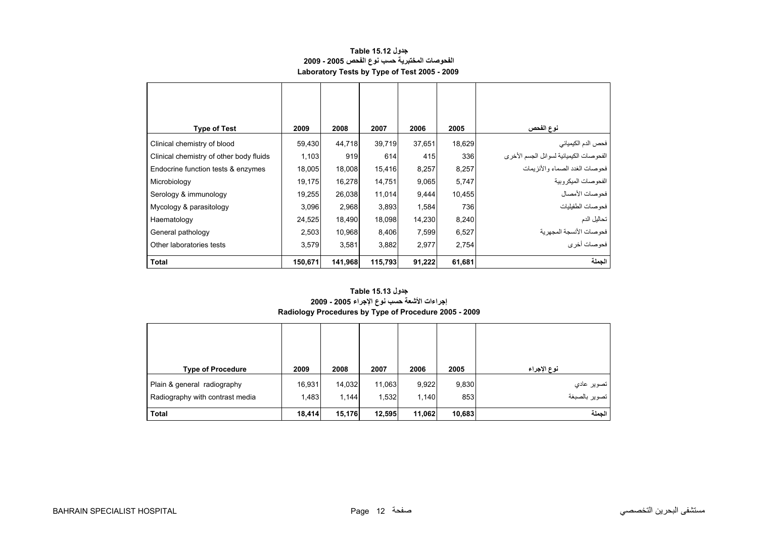#### **جدول 15.12 Table الفحوصات المختبرية حسب نوع الفحص 2005 - 2009 Laboratory Tests by Type of Test 2005 - 2009**

<span id="page-10-0"></span>

| <b>Type of Test</b>                     | 2009    | 2008    | 2007    | 2006   | 2005   | نوع الفحص                               |
|-----------------------------------------|---------|---------|---------|--------|--------|-----------------------------------------|
| Clinical chemistry of blood             | 59,430  | 44,718  | 39,719  | 37,651 | 18,629 | فحص الدم الكيميائي                      |
| Clinical chemistry of other body fluids | 1,103   | 919     | 614     | 415    | 336    | الفحوصات الكيميائية لسوائل الجسم الأخرى |
| Endocrine function tests & enzymes      | 18,005  | 18,008  | 15,416  | 8,257  | 8,257  | فحوصات الغدد الصماء والأنزيمات          |
| Microbiology                            | 19,175  | 16,278  | 14,751  | 9,065  | 5,747  | الفحو صبات الميكر وبية                  |
| Serology & immunology                   | 19,255  | 26,038  | 11,014  | 9,444  | 10,455 | فحوصات الأمصال                          |
| Mycology & parasitology                 | 3,096   | 2,968   | 3,893   | 1,584  | 736    | فحوصات الطفيليات                        |
| Haematology                             | 24,525  | 18,490  | 18,098  | 14,230 | 8,240  | تحاليل الدم                             |
| General pathology                       | 2,503   | 10,968  | 8,406   | 7,599  | 6,527  | فحو صبات الأنسجة المجهر ية              |
| Other laboratories tests                | 3,579   | 3,581   | 3,882   | 2,977  | 2,754  | فحوصات أخرى                             |
| <b>Total</b>                            | 150,671 | 141,968 | 115,793 | 91,222 | 61,681 | الجملة                                  |

## **إجراءات الأشعة حسب نوع الإجراء 2005 - 2009 Radiology Procedures by Type of Procedure 2005 - 2009 جدول 15.13 Table**

| <b>Type of Procedure</b>        | 2009   | 2008   | 2007   | 2006   | 2005   | نوع الإجراء   |
|---------------------------------|--------|--------|--------|--------|--------|---------------|
| Plain & general radiography     | 16,931 | 14,032 | 11,063 | 9,922  | 9,830  | تصوير عادي    |
| Radiography with contrast media | 1,483  | 1,144  | 1,532  | 1,140  | 853    | تصوير بالصبغة |
| <b>Total</b>                    | 18,414 | 15,176 | 12,595 | 11,062 | 10,683 | الحملة        |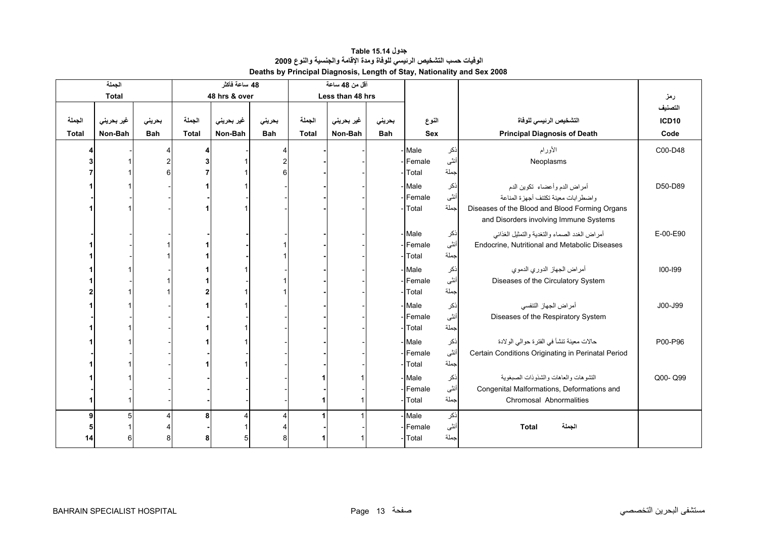**جدول 15.14 Table Deaths by Principal Diagnosis, Length of Stay, Nationality and Sex 2008 الوفيات حسب التشخيص الرئيسي للوفاة ومدة الإقامة والجنسية والنوع <sup>2009</sup>**

<span id="page-11-0"></span>

| الجملة       |              |            | 48 ساعة فأكثر |               |                | أقل من 48 ساعة |                  |            |            |      |                                                    |              |
|--------------|--------------|------------|---------------|---------------|----------------|----------------|------------------|------------|------------|------|----------------------------------------------------|--------------|
|              | <b>Total</b> |            |               | 48 hrs & over |                |                | Less than 48 hrs |            |            |      |                                                    | رمز          |
|              |              |            |               |               |                |                |                  |            |            |      |                                                    | التصنيف      |
| الجملة       | غير بحريني   | بحريني     | الجملة        | غير بحريني    | بحرينى         | الجملة         | غير بحريني       | بحريني     | النوع      |      | التشخيص الرئيسى للوفاة                             | <b>ICD10</b> |
| <b>Total</b> | Non-Bah      | <b>Bah</b> | <b>Total</b>  | Non-Bah       | <b>Bah</b>     | <b>Total</b>   | Non-Bah          | <b>Bah</b> | <b>Sex</b> |      | <b>Principal Diagnosis of Death</b>                | Code         |
|              |              |            | Δ             |               | 4              |                |                  |            | - Male     | ذكر  | الأورام                                            | C00-D48      |
|              |              |            | 3             |               | $\overline{2}$ |                |                  |            | - Female   | أنثى | Neoplasms                                          |              |
|              |              |            |               |               | 6              |                |                  |            | Total      | جملة |                                                    |              |
|              |              |            |               |               |                |                |                  |            | - Male     | نكر  | أمراض الدم وأعضاء تكوين الدم                       | D50-D89      |
|              |              |            |               |               |                |                |                  |            | - Female   | أنثى | واضطرابات معينة تكتنف أجهزة المناعة                |              |
|              |              |            |               |               |                |                |                  |            | Total      | جملة | Diseases of the Blood and Blood Forming Organs     |              |
|              |              |            |               |               |                |                |                  |            |            |      | and Disorders involving Immune Systems             |              |
|              |              |            |               |               |                |                |                  |            | - Male     | نكر  | أمراض الغدد الصماء والتغدية والتمثيل الغذائي       | E-00-E90     |
|              |              |            |               |               |                |                |                  |            | - Female   | أنثى | Endocrine, Nutritional and Metabolic Diseases      |              |
|              |              |            |               |               |                |                |                  |            | - Total    | جملة |                                                    |              |
|              |              |            |               |               |                |                |                  |            | - Male     | نكر  | أمراض الجهاز الدوري الدموي                         | 100-199      |
|              |              |            |               |               |                |                |                  |            | -Female    | أنثى | Diseases of the Circulatory System                 |              |
|              |              |            | $\mathbf{2}$  |               |                |                |                  |            | Total      | جملة |                                                    |              |
|              |              |            |               |               |                |                |                  |            | - Male     | ذكر  | أمراض الجهاز التنفسي                               | J00-J99      |
|              |              |            |               |               |                |                |                  |            | -Female    | أننى | Diseases of the Respiratory System                 |              |
|              |              |            |               |               |                |                |                  |            | Total      | جملة |                                                    |              |
|              |              |            |               |               |                |                |                  |            | - Male     | ذكر  | حالات معينة تنشأ في الفترة حوالي الولادة           | P00-P96      |
|              |              |            |               |               |                |                |                  |            | - Female   | أنثى | Certain Conditions Originating in Perinatal Period |              |
|              |              |            |               |               |                |                |                  |            | - Total    | جملة |                                                    |              |
|              |              |            |               |               |                |                |                  |            | -Male      | نكر  | التشو هات والعاهات والشذوذات الصبغوبية             | Q00-Q99      |
|              |              |            |               |               |                |                |                  |            | - Female   | أنثى | Congenital Malformations, Deformations and         |              |
|              |              |            |               |               |                |                |                  |            | Total      | جملة | Chromosal Abnormalities                            |              |
| 9            | 5            |            | 8             | Δ             | Δ              |                |                  |            | Male       | ذكر  |                                                    |              |
|              |              |            |               |               |                |                |                  |            | - Female   | أنثى | الجملة<br><b>Total</b>                             |              |
| 14           |              |            | 8             | 5             | 8              |                |                  |            | Total      | جملة |                                                    |              |
|              |              |            |               |               |                |                |                  |            |            |      |                                                    |              |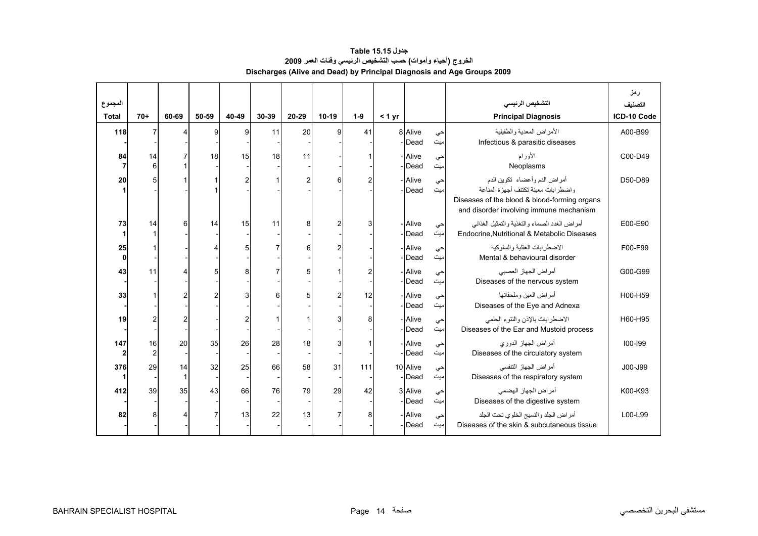<span id="page-12-0"></span>

| المجموع              |                      |       |       |       |       |                |                |                |        |                    |           | التشخيص الرئيسى                                                                                                                                                   | رمز<br>لتصنيف |
|----------------------|----------------------|-------|-------|-------|-------|----------------|----------------|----------------|--------|--------------------|-----------|-------------------------------------------------------------------------------------------------------------------------------------------------------------------|---------------|
| <b>Total</b>         | $70+$                | 60-69 | 50-59 | 40-49 | 30-39 | 20-29          | $10-19$        | $1-9$          | < 1 yr |                    |           | <b>Principal Diagnosis</b>                                                                                                                                        | ICD-10 Code   |
| 118                  | $\overline{7}$       | Λ     | 9     | 9     | 11    | 20             | 9              | 41             |        | 8 Alive<br>- Dead  | حى<br>میت | الأمر اض المعدبة والطفيلية<br>Infectious & parasitic diseases                                                                                                     | A00-B99       |
| 84<br>$\overline{7}$ | 14<br>6              |       | 18    | 15    | 18    | 11             |                |                |        | - Alive<br>Dead    | حى<br>میت | الأورام<br>Neoplasms                                                                                                                                              | C00-D49       |
| 20                   | 5                    |       |       | 2     |       | $\overline{c}$ | 6              | $\overline{2}$ |        | - Alive<br>Dead    | حي<br>مبت | أمراض الدم وأعضاء تكوين الدم<br>و اضطر ابات معينة تكتنف أجهز ة المناعة<br>Diseases of the blood & blood-forming organs<br>and disorder involving immune mechanism | D50-D89       |
| 73<br>1              | 14                   | 6     | 14    | 15    | 11    | 8              | $\overline{2}$ | 3              |        | - Alive<br>Dead    | حى<br>میت | أمراض الغدد الصماء والتغذية والتمثيل الغذائبي<br>Endocrine, Nutritional & Metabolic Diseases                                                                      | E00-E90       |
| 25<br>$\mathbf{0}$   |                      |       |       |       |       | 6              | $\overline{2}$ |                |        | - Alive<br>Dead    | حى<br>میت | الاضطر ابات العقلبة والسلوكية<br>Mental & behavioural disorder                                                                                                    | F00-F99       |
| 43                   | 11                   |       | 5     | 8     |       | 5              |                | $\overline{2}$ |        | - Alive<br>Dead    | حى<br>میت | أمراض الجهاز العصبي<br>Diseases of the nervous system                                                                                                             | G00-G99       |
| 33                   |                      |       |       | 3     | 6     | 5              | $\overline{c}$ | 12             |        | - Alive<br>Dead    | حى<br>میت | أمر اض العبن وملحقاتها<br>Diseases of the Eye and Adnexa                                                                                                          | H00-H59       |
| 19                   | $\overline{2}$       |       |       |       |       |                | 3              | 8              |        | - Alive<br>Dead    | حى<br>میت | الاضطرابات بالإذن والنتوء الحلمي<br>Diseases of the Ear and Mustoid process                                                                                       | H60-H95       |
| 147<br>$\mathbf{2}$  | 16<br>$\overline{2}$ | 20    | 35    | 26    | 28    | 18             | 3              |                |        | - Alive<br>Dead    | حى<br>میت | أمراض الجهاز الدوري<br>Diseases of the circulatory system                                                                                                         | 100-199       |
| 376                  | 29                   | 14    | 32    | 25    | 66    | 58             | 31             | 111            |        | 10 Alive<br>- Dead | حى<br>میت | أمر اض الجهاز التنفسي<br>Diseases of the respiratory system                                                                                                       | J00-J99       |
| 412                  | 39                   | 35    | 43    | 66    | 76    | 79             | 29             | 42             |        | 3 Alive<br>Dead    | حى<br>میت | أمر اض الجهاز الهضمي<br>Diseases of the digestive system                                                                                                          | K00-K93       |
| 82                   | 8                    |       |       | 13    | 22    | 13             | $\overline{7}$ | 8              |        | - Alive<br>- Dead  | حى<br>میت | أمراض الجلد والنسيج الخلوى تحت الجلد<br>Diseases of the skin & subcutaneous tissue                                                                                | L00-L99       |

# **جدول 15.15 Table الخروج (أحياء وأموات) حسب التشخيص الرئيسي وفئات العمر <sup>2009</sup> Discharges (Alive and Dead) by Principal Diagnosis and Age Groups 2009**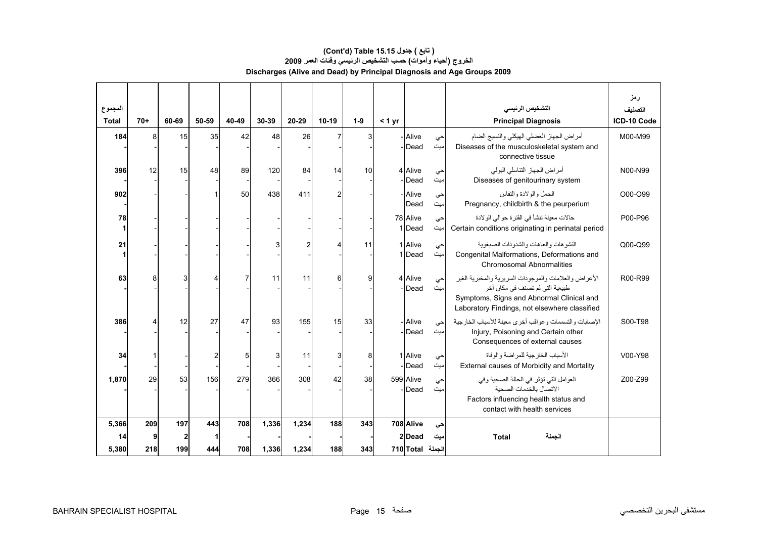## **الخروج (أحياء وأموات) حسب التشخيص الرئيسي وفئات العمر <sup>2009</sup> Discharges (Alive and Dead) by Principal Diagnosis and Age Groups 2009 (Cont'd) Table 15.15 جدول ) تابع(**

| المجموع      |       |              |       |       |       |                |                |       |        |                    |           | التشخيص الرئيسى                                                                                                                                                                                   | رمز<br>التصنيف |
|--------------|-------|--------------|-------|-------|-------|----------------|----------------|-------|--------|--------------------|-----------|---------------------------------------------------------------------------------------------------------------------------------------------------------------------------------------------------|----------------|
| <b>Total</b> | $70+$ | 60-69        | 50-59 | 40-49 | 30-39 | 20-29          | $10-19$        | $1-9$ | < 1 yr |                    |           | <b>Principal Diagnosis</b>                                                                                                                                                                        | ICD-10 Code    |
| 184          | 8     | 15           | 35    | 42    | 48    | 26             | 7              | 3     |        | - Alive<br>Dead    | حى<br>ميت | أمراض الجهاز العضلى الهيكلي والنسيج الضام<br>Diseases of the musculoskeletal system and<br>connective tissue                                                                                      | M00-M99        |
| 396          | 12    | 15           | 48    | 89    | 120   | 84             | 14             | 10    |        | 4 Alive<br>Dead    | حى<br>ميت | أمراض الجهاز التناسلي البولي<br>Diseases of genitourinary system                                                                                                                                  | N00-N99        |
| 902          |       |              |       | 50    | 438   | 411            | $\overline{2}$ |       |        | - Alive<br>Dead    | حى<br>میت | الحمل والو لادة والنفاس<br>Pregnancy, childbirth & the peurperium                                                                                                                                 | O00-O99        |
| 78           |       |              |       |       |       |                |                |       |        | 78 Alive<br>1 Dead | حي<br>میت | حالات معينة تنشأ في الفتر ة حوالي الولادة<br>Certain conditions originating in perinatal period                                                                                                   | P00-P96        |
| 21           |       |              |       |       | 3     | $\overline{2}$ |                | 11    |        | 1 Alive<br>1Dead   | حي<br>میت | التشو هات و العاهات و الشذو ذات الصبغو بة<br>Congenital Malformations, Deformations and<br>Chromosomal Abnormalities                                                                              | Q00-Q99        |
| 63           | 8     | 3            | 4     |       | 11    | 11             | 6              | 9     |        | 4 Alive<br>Dead    | حى<br>میت | الأعر اض و العلامات و الموجو دات السر بر يـة و المخبر يـة الـغير<br>طبيعية التي لم تصنف في مكان آخر<br>Symptoms, Signs and Abnormal Clinical and<br>Laboratory Findings, not elsewhere classified | R00-R99        |
| 386          | Δ     | 12           | 27    | 47    | 93    | 155            | 15             | 33    |        | - Alive<br>Dead    | حى<br>مبت | الإصبابات والتسممات و عو اقب أخر ي معينة للأسباب الخار جية<br>Injury, Poisoning and Certain other<br>Consequences of external causes                                                              | S00-T98        |
| 34           |       |              | 2     | 5     | 3     | 11             | 3              | 8     |        | 1 Alive<br>Dead    | حي<br>ميت | الأسباب الخار جية للمر اضنة و الو فاة<br>External causes of Morbidity and Mortality                                                                                                               | V00-Y98        |
| 1,870        | 29    | 53           | 156   | 279   | 366   | 308            | 42             | 38    |        | 599 Alive<br>Dead  | حى<br>میت | العوامل التي تؤثر في الحالة الصحية وفي<br>الاتصال بالخدمات الصحبة<br>Factors influencing health status and<br>contact with health services                                                        | Z00-Z99        |
| 5.366        | 209   | 197          | 443   | 708   | 1,336 | 1,234          | 188            | 343   |        | 708 Alive          | حى        |                                                                                                                                                                                                   |                |
| 14           | 9     | $\mathbf{2}$ |       |       |       |                |                |       |        | 2 Dead             | ميت       | <b>Total</b><br>الجملة                                                                                                                                                                            |                |
| 5,380        | 218   | 199          | 444   | 708   | 1,336 | 1,234          | 188            | 343   |        | الجملة Total 710   |           |                                                                                                                                                                                                   |                |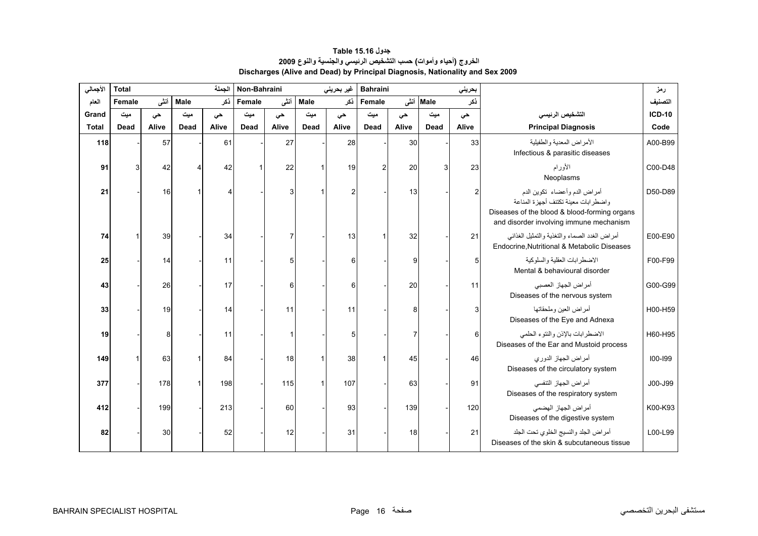<span id="page-14-0"></span>

| الأجمالي     | <b>Total</b> | الجملة<br>Non-Bahraini<br>غير بحريني |      |                |        |       |      |                | <b>Bahraini</b> |       |           | بحريني |                                                                                                                                                                | رمز           |
|--------------|--------------|--------------------------------------|------|----------------|--------|-------|------|----------------|-----------------|-------|-----------|--------|----------------------------------------------------------------------------------------------------------------------------------------------------------------|---------------|
| العام        | Female       | أننى                                 | Male | نكر            | Female | أننى  | Male | نكر            | Female          |       | Male أنشى | نكر    |                                                                                                                                                                | التصنيف       |
| Grand        | ميت          | حى                                   | میت  | حى             | میت    | حى    | میت  | حى             | میت             | حى    | میت       | حى     | التشخيص الرئيسى                                                                                                                                                | <b>ICD-10</b> |
| <b>Total</b> | Dead         | Alive                                | Dead | Alive          | Dead   | Alive | Dead | Alive          | <b>Dead</b>     | Alive | Dead      | Alive  | <b>Principal Diagnosis</b>                                                                                                                                     | Code          |
| 118          |              | 57                                   |      | 61             |        | 27    |      | 28             |                 | 30    |           | 33     | الأمراض المعدية والطفيلية<br>Infectious & parasitic diseases                                                                                                   | A00-B99       |
| 91           |              | 42                                   |      | 42             |        | 22    |      | 19             |                 | 20    |           | 23     | الأورام<br>Neoplasms                                                                                                                                           | C00-D48       |
| 21           |              | 16                                   |      | $\overline{4}$ |        | 3     |      | $\overline{2}$ |                 | 13    |           | 2      | أمراض الدم وأعضاء تكوين الدم<br>واضطرابات معينة تكتنف أجهزة المناعة<br>Diseases of the blood & blood-forming organs<br>and disorder involving immune mechanism | D50-D89       |
| 74           |              | 39                                   |      | 34             |        |       |      | 13             |                 | 32    |           | 21     | أمراض الغدد الصماء والتغذية والتمثيل الغذائبي<br>Endocrine, Nutritional & Metabolic Diseases                                                                   | E00-E90       |
| 25           |              | 14                                   |      | 11             |        | 5     |      | 6              |                 | 9     |           | 5      | الاضطر ابات العقلية والسلوكية<br>Mental & behavioural disorder                                                                                                 | F00-F99       |
| 43           |              | 26                                   |      | 17             |        | 6     |      | 6              |                 | 20    |           | 11     | أمراض الجهاز العصبي<br>Diseases of the nervous system                                                                                                          | G00-G99       |
| 33           |              | 19                                   |      | 14             |        | 11    |      | 11             |                 | 8     |           | 3      | أمراض العين وملحقاتها<br>Diseases of the Eye and Adnexa                                                                                                        | H00-H59       |
| 19           |              | 8                                    |      | 11             |        |       |      | 5              |                 |       |           | 6      | الاضطرابات بالإذن والنتوء الحلمي<br>Diseases of the Ear and Mustoid process                                                                                    | H60-H95       |
| 149          |              | 63                                   |      | 84             |        | 18    |      | 38             |                 | 45    |           | 46     | أمراض الجهاز الدوري<br>Diseases of the circulatory system                                                                                                      | $100 - 199$   |
| 377          |              | 178                                  |      | 198            |        | 115   |      | 107            |                 | 63    |           | 91     | أمراض الجهاز التنفسي<br>Diseases of the respiratory system                                                                                                     | J00-J99       |
| 412          |              | 199                                  |      | 213            |        | 60    |      | 93             |                 | 139   |           | 120    | أمراض الجهاز الهضمى<br>Diseases of the digestive system                                                                                                        | K00-K93       |
| 82           |              | 30                                   |      | 52             |        | 12    |      | 31             |                 | 18    |           | 21     | أمراض الجلد والنسيج الخلوى تحت الجلد<br>Diseases of the skin & subcutaneous tissue                                                                             | L00-L99       |

**جدول 15.16 Table الخروج (أحياء وأموات) حسب التشخيص الرئيسي والجنسية والنوع <sup>2009</sup> Discharges (Alive and Dead) by Principal Diagnosis, Nationality and Sex 2009**